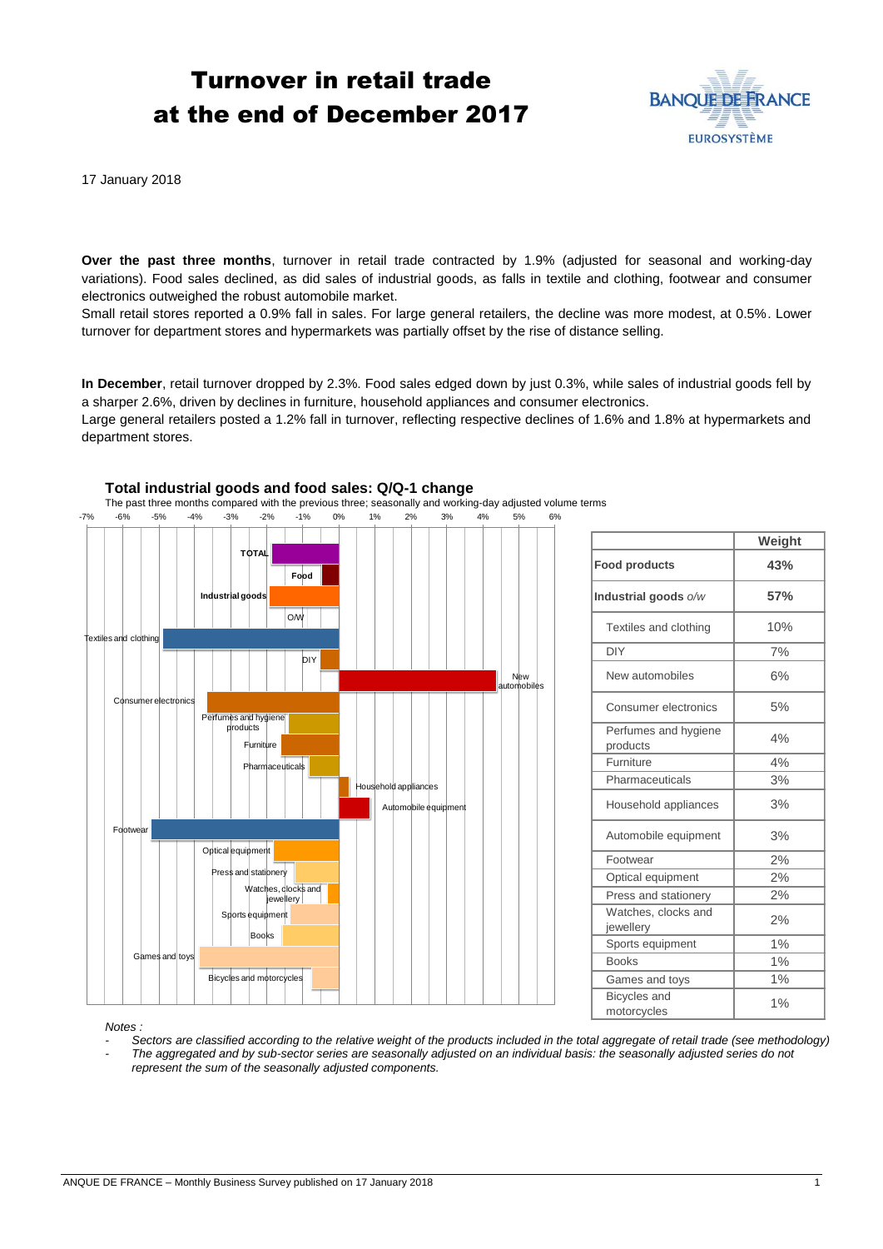# Turnover in retail trade at the end of December 2017



17 January 2018

**Over the past three months**, turnover in retail trade contracted by 1.9% (adjusted for seasonal and working-day variations). Food sales declined, as did sales of industrial goods, as falls in textile and clothing, footwear and consumer electronics outweighed the robust automobile market.

Small retail stores reported a 0.9% fall in sales. For large general retailers, the decline was more modest, at 0.5%. Lower turnover for department stores and hypermarkets was partially offset by the rise of distance selling.

**In December**, retail turnover dropped by 2.3%. Food sales edged down by just 0.3%, while sales of industrial goods fell by a sharper 2.6%, driven by declines in furniture, household appliances and consumer electronics.

Large general retailers posted a 1.2% fall in turnover, reflecting respective declines of 1.6% and 1.8% at hypermarkets and department stores.



|                                    | Weight |
|------------------------------------|--------|
| <b>Food products</b>               | 43%    |
| Industrial goods o/w               | 57%    |
| Textiles and clothing              | 10%    |
| <b>DIY</b>                         | 7%     |
| New automobiles                    | 6%     |
| Consumer electronics               | 5%     |
| Perfumes and hygiene<br>products   | 4%     |
| Furniture                          | 4%     |
| Pharmaceuticals                    | 3%     |
| Household appliances               | 3%     |
| Automobile equipment               | 3%     |
| Footwear                           | 2%     |
| Optical equipment                  | 2%     |
| Press and stationery               | 2%     |
| Watches, clocks and<br>jewellery   | 2%     |
| Sports equipment                   | 1%     |
| <b>Books</b>                       | 1%     |
| Games and toys                     | 1%     |
| <b>Bicycles</b> and<br>motorcycles | 1%     |

#### *Notes :*

*- Sectors are classified according to the relative weight of the products included in the total aggregate of retail trade (see methodology)*

*- The aggregated and by sub-sector series are seasonally adjusted on an individual basis: the seasonally adjusted series do not represent the sum of the seasonally adjusted components.*